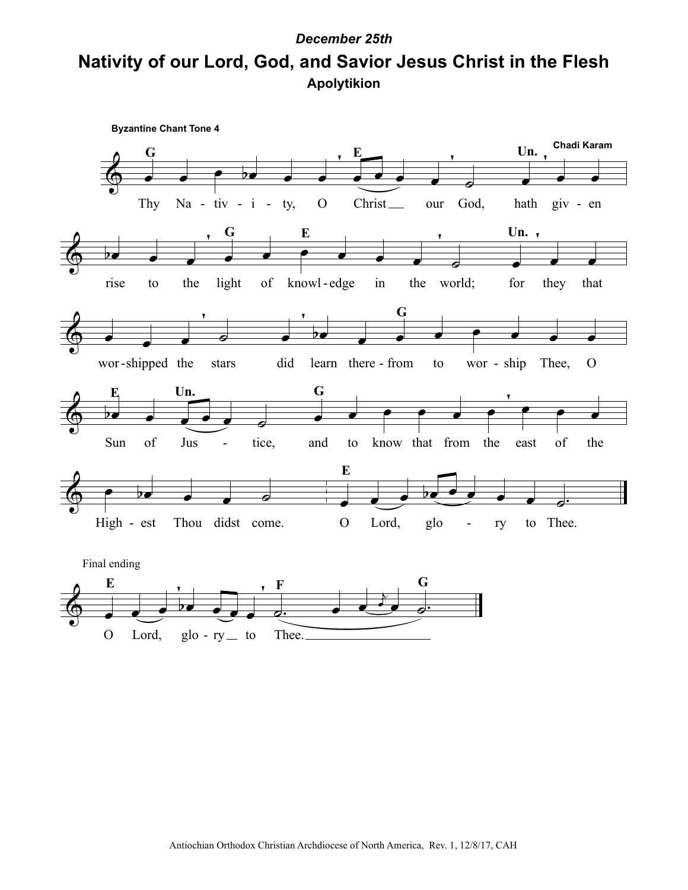## **Apolytikion Nativity of our Lord, God, and Savior Jesus Christ in the Flesh** *December 25th*